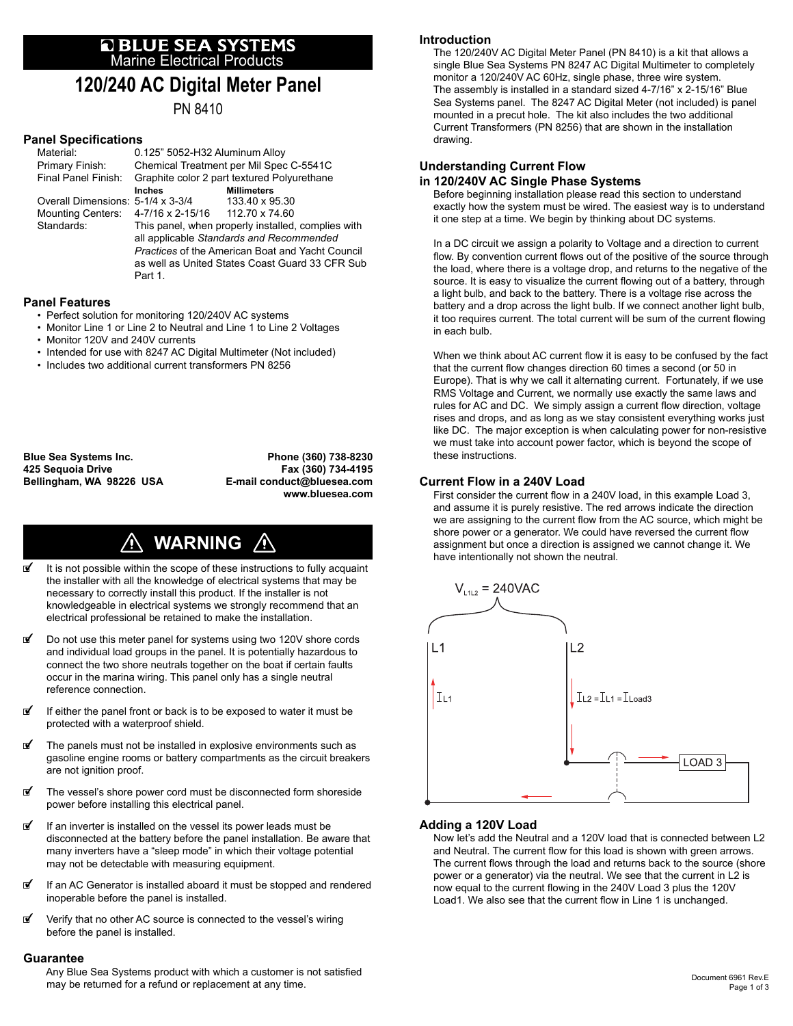# **E BLUE SEA SYSTEMS**<br>Marine Electrical Products

# **120/240 AC Digital Meter Panel**

PN 8410

# **Panel Specifications**

|         | Material:<br>Primary Finish:                      | 0.125" 5052-H32 Aluminum Alloy<br>Chemical Treatment per Mil Spec C-5541C                                                                                 |                                      |
|---------|---------------------------------------------------|-----------------------------------------------------------------------------------------------------------------------------------------------------------|--------------------------------------|
|         | Final Panel Finish:                               | Graphite color 2 part textured Polyurethane                                                                                                               |                                      |
|         | Overall Dimensions: 5-1/4 x 3-3/4                 | Inches                                                                                                                                                    | <b>Millimeters</b><br>133.40 x 95.30 |
|         | Mounting Centers: 4-7/16 x 2-15/16 112.70 x 74.60 |                                                                                                                                                           |                                      |
|         | Standards:                                        | This panel, when properly installed, complies with<br>all applicable Standards and Recommended<br><b>Practices of the American Boat and Yacht Council</b> |                                      |
| Part 1. |                                                   | as well as United States Coast Guard 33 CFR Sub                                                                                                           |                                      |

# **Panel Features**

- Perfect solution for monitoring 120/240V AC systems
- Monitor Line 1 or Line 2 to Neutral and Line 1 to Line 2 Voltages
- Monitor 120V and 240V currents
- Intended for use with 8247 AC Digital Multimeter (Not included)
- Includes two additional current transformers PN 8256

**Blue Sea Systems Inc. Phone (360) 738-8230 Bellingham, WA 98226 USA E-mail conduct@bluesea.com**

**425 Sequoia Drive Fax (360) 734-4195 www.bluesea.com**

#### **WARNING**  $\bigwedge$

- $\mathbf{F}$  It is not possible within the scope of these instructions to fully acquaint the installer with all the knowledge of electrical systems that may be necessary to correctly install this product. If the installer is not knowledgeable in electrical systems we strongly recommend that an electrical professional be retained to make the installation.
- Do not use this meter panel for systems using two 120V shore cords and individual load groups in the panel. It is potentially hazardous to connect the two shore neutrals together on the boat if certain faults occur in the marina wiring. This panel only has a single neutral reference connection.
- $\mathbf{F}$  If either the panel front or back is to be exposed to water it must be protected with a waterproof shield.
- The panels must not be installed in explosive environments such as gasoline engine rooms or battery compartments as the circuit breakers are not ignition proof.
- @ The vessel's shore power cord must be disconnected form shoreside power before installing this electrical panel.
- $\mathbf{F}$  If an inverter is installed on the vessel its power leads must be disconnected at the battery before the panel installation. Be aware that many inverters have a "sleep mode" in which their voltage potential may not be detectable with measuring equipment.
- If an AC Generator is installed aboard it must be stopped and rendered inoperable before the panel is installed.
- *If* Verify that no other AC source is connected to the vessel's wiring before the panel is installed.

#### **Guarantee**

Any Blue Sea Systems product with which a customer is not satisfied may be returned for a refund or replacement at any time.

# **Introduction**

 The 120/240V AC Digital Meter Panel (PN 8410) is a kit that allows a single Blue Sea Systems PN 8247 AC Digital Multimeter to completely monitor a 120/240V AC 60Hz, single phase, three wire system. The assembly is installed in a standard sized 4-7/16" x 2-15/16" Blue Sea Systems panel. The 8247 AC Digital Meter (not included) is panel mounted in a precut hole. The kit also includes the two additional Current Transformers (PN 8256) that are shown in the installation drawing.

# **Understanding Current Flow**

# **in 120/240V AC Single Phase Systems**

 Before beginning installation please read this section to understand exactly how the system must be wired. The easiest way is to understand it one step at a time. We begin by thinking about DC systems.

 In a DC circuit we assign a polarity to Voltage and a direction to current flow. By convention current flows out of the positive of the source through the load, where there is a voltage drop, and returns to the negative of the source. It is easy to visualize the current flowing out of a battery, through a light bulb, and back to the battery. There is a voltage rise across the battery and a drop across the light bulb. If we connect another light bulb, it too requires current. The total current will be sum of the current flowing in each bulb.

When we think about AC current flow it is easy to be confused by the fact that the current flow changes direction 60 times a second (or 50 in Europe). That is why we call it alternating current. Fortunately, if we use RMS Voltage and Current, we normally use exactly the same laws and rules for AC and DC. We simply assign a current flow direction, voltage rises and drops, and as long as we stay consistent everything works just like DC. The major exception is when calculating power for non-resistive we must take into account power factor, which is beyond the scope of these instructions.

# **Current Flow in a 240V Load**

First consider the current flow in a 240V load, in this example Load 3, and assume it is purely resistive. The red arrows indicate the direction we are assigning to the current flow from the AC source, which might be shore power or a generator. We could have reversed the current flow assignment but once a direction is assigned we cannot change it. We have intentionally not shown the neutral.



# **Adding a 120V Load**

 Now let's add the Neutral and a 120V load that is connected between L2 and Neutral. The current flow for this load is shown with green arrows. The current flows through the load and returns back to the source (shore power or a generator) via the neutral. We see that the current in L2 is now equal to the current flowing in the 240V Load 3 plus the 120V Load1. We also see that the current flow in Line 1 is unchanged.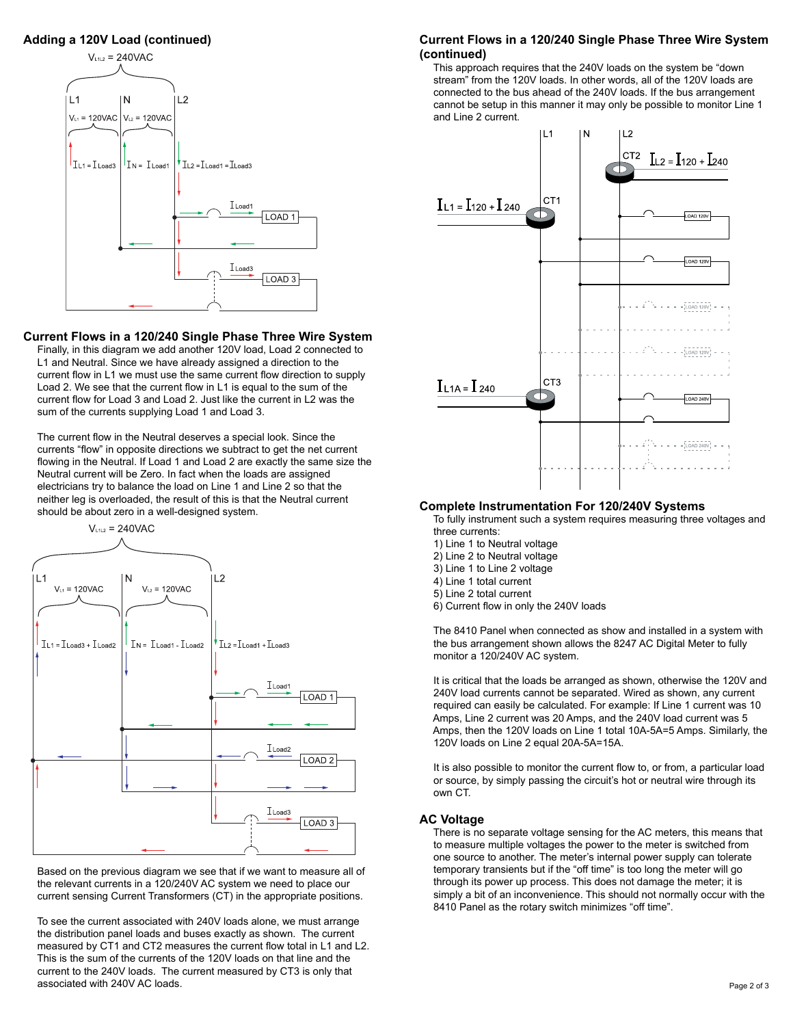# **Adding a 120V Load (continued)**



#### **Current Flows in a 120/240 Single Phase Three Wire System**

 Finally, in this diagram we add another 120V load, Load 2 connected to L1 and Neutral. Since we have already assigned a direction to the current flow in L1 we must use the same current flow direction to supply Load 2. We see that the current flow in L1 is equal to the sum of the current flow for Load 3 and Load 2. Just like the current in L2 was the sum of the currents supplying Load 1 and Load 3.

The current flow in the Neutral deserves a special look. Since the currents "flow" in opposite directions we subtract to get the net current flowing in the Neutral. If Load 1 and Load 2 are exactly the same size the Neutral current will be Zero. In fact when the loads are assigned electricians try to balance the load on Line 1 and Line 2 so that the neither leg is overloaded, the result of this is that the Neutral current should be about zero in a well-designed system.



 Based on the previous diagram we see that if we want to measure all of the relevant currents in a 120/240V AC system we need to place our current sensing Current Transformers (CT) in the appropriate positions.

 To see the current associated with 240V loads alone, we must arrange the distribution panel loads and buses exactly as shown. The current measured by CT1 and CT2 measures the current flow total in L1 and L2. This is the sum of the currents of the 120V loads on that line and the current to the 240V loads. The current measured by CT3 is only that associated with 240V AC loads.

## **Current Flows in a 120/240 Single Phase Three Wire System (continued)**

 This approach requires that the 240V loads on the system be "down stream" from the 120V loads. In other words, all of the 120V loads are connected to the bus ahead of the 240V loads. If the bus arrangement cannot be setup in this manner it may only be possible to monitor Line 1 and Line 2 current.



## **Complete Instrumentation For 120/240V Systems**

 To fully instrument such a system requires measuring three voltages and three currents:

- 1) Line 1 to Neutral voltage
- 2) Line 2 to Neutral voltage
- 3) Line 1 to Line 2 voltage
- 4) Line 1 total current
- 5) Line 2 total current
- 6) Current flow in only the 240V loads

 The 8410 Panel when connected as show and installed in a system with the bus arrangement shown allows the 8247 AC Digital Meter to fully monitor a 120/240V AC system.

 It is critical that the loads be arranged as shown, otherwise the 120V and 240V load currents cannot be separated. Wired as shown, any current required can easily be calculated. For example: If Line 1 current was 10 Amps, Line 2 current was 20 Amps, and the 240V load current was 5 Amps, then the 120V loads on Line 1 total 10A-5A=5 Amps. Similarly, the 120V loads on Line 2 equal 20A-5A=15A.

It is also possible to monitor the current flow to, or from, a particular load or source, by simply passing the circuit's hot or neutral wire through its own CT.

#### **AC Voltage**

 There is no separate voltage sensing for the AC meters, this means that to measure multiple voltages the power to the meter is switched from one source to another. The meter's internal power supply can tolerate temporary transients but if the "off time" is too long the meter will go through its power up process. This does not damage the meter; it is simply a bit of an inconvenience. This should not normally occur with the 8410 Panel as the rotary switch minimizes "off time".